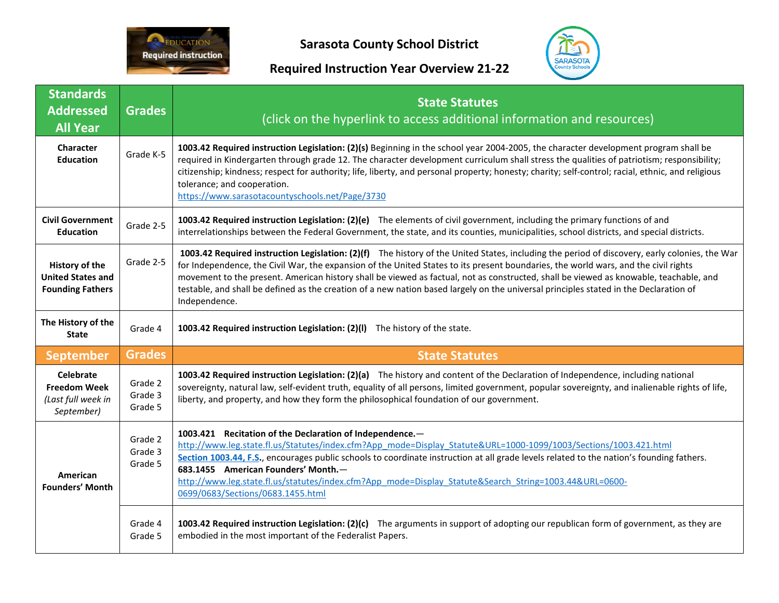

**Sarasota County School District**

## **Required Instruction Year Overview 21-22**



| <b>Standards</b><br><b>Addressed</b><br><b>All Year</b>                     | <b>Grades</b>                 | <b>State Statutes</b><br>(click on the hyperlink to access additional information and resources)                                                                                                                                                                                                                                                                                                                                                                                                                                                                                        |
|-----------------------------------------------------------------------------|-------------------------------|-----------------------------------------------------------------------------------------------------------------------------------------------------------------------------------------------------------------------------------------------------------------------------------------------------------------------------------------------------------------------------------------------------------------------------------------------------------------------------------------------------------------------------------------------------------------------------------------|
| Character<br><b>Education</b>                                               | Grade K-5                     | 1003.42 Required instruction Legislation: (2)(s) Beginning in the school year 2004-2005, the character development program shall be<br>required in Kindergarten through grade 12. The character development curriculum shall stress the qualities of patriotism; responsibility;<br>citizenship; kindness; respect for authority; life, liberty, and personal property; honesty; charity; self-control; racial, ethnic, and religious<br>tolerance; and cooperation.<br>https://www.sarasotacountyschools.net/Page/3730                                                                 |
| <b>Civil Government</b><br><b>Education</b>                                 | Grade 2-5                     | 1003.42 Required instruction Legislation: (2)(e) The elements of civil government, including the primary functions of and<br>interrelationships between the Federal Government, the state, and its counties, municipalities, school districts, and special districts.                                                                                                                                                                                                                                                                                                                   |
| History of the<br><b>United States and</b><br><b>Founding Fathers</b>       | Grade 2-5                     | 1003.42 Required instruction Legislation: (2)(f) The history of the United States, including the period of discovery, early colonies, the War<br>for Independence, the Civil War, the expansion of the United States to its present boundaries, the world wars, and the civil rights<br>movement to the present. American history shall be viewed as factual, not as constructed, shall be viewed as knowable, teachable, and<br>testable, and shall be defined as the creation of a new nation based largely on the universal principles stated in the Declaration of<br>Independence. |
| The History of the<br><b>State</b>                                          | Grade 4                       | 1003.42 Required instruction Legislation: (2)(I) The history of the state.                                                                                                                                                                                                                                                                                                                                                                                                                                                                                                              |
| <b>September</b>                                                            | <b>Grades</b>                 | <b>State Statutes</b>                                                                                                                                                                                                                                                                                                                                                                                                                                                                                                                                                                   |
| <b>Celebrate</b><br><b>Freedom Week</b><br>(Last full week in<br>September) | Grade 2<br>Grade 3<br>Grade 5 | 1003.42 Required instruction Legislation: (2)(a) The history and content of the Declaration of Independence, including national<br>sovereignty, natural law, self-evident truth, equality of all persons, limited government, popular sovereignty, and inalienable rights of life,<br>liberty, and property, and how they form the philosophical foundation of our government.                                                                                                                                                                                                          |
| American<br><b>Founders' Month</b>                                          | Grade 2<br>Grade 3<br>Grade 5 | 1003.421 Recitation of the Declaration of Independence.-<br>http://www.leg.state.fl.us/Statutes/index.cfm?App_mode=Display_Statute&URL=1000-1099/1003/Sections/1003.421.html<br>Section 1003.44, F.S., encourages public schools to coordinate instruction at all grade levels related to the nation's founding fathers.<br>683.1455 American Founders' Month.-<br>http://www.leg.state.fl.us/statutes/index.cfm?App_mode=Display_Statute&Search_String=1003.44&URL=0600-<br>0699/0683/Sections/0683.1455.html                                                                          |
|                                                                             | Grade 4<br>Grade 5            | 1003.42 Required instruction Legislation: (2)(c) The arguments in support of adopting our republican form of government, as they are<br>embodied in the most important of the Federalist Papers.                                                                                                                                                                                                                                                                                                                                                                                        |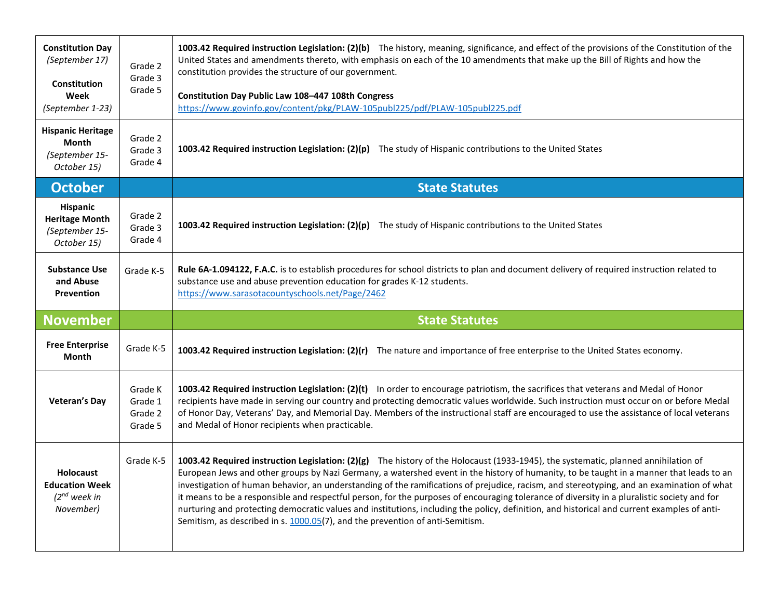| <b>Constitution Day</b><br>(September 17)<br><b>Constitution</b><br>Week<br>(September 1-23) | Grade 2<br>Grade 3<br>Grade 5            | 1003.42 Required instruction Legislation: (2)(b) The history, meaning, significance, and effect of the provisions of the Constitution of the<br>United States and amendments thereto, with emphasis on each of the 10 amendments that make up the Bill of Rights and how the<br>constitution provides the structure of our government.<br>Constitution Day Public Law 108-447 108th Congress<br>https://www.govinfo.gov/content/pkg/PLAW-105publ225/pdf/PLAW-105publ225.pdf |
|----------------------------------------------------------------------------------------------|------------------------------------------|-----------------------------------------------------------------------------------------------------------------------------------------------------------------------------------------------------------------------------------------------------------------------------------------------------------------------------------------------------------------------------------------------------------------------------------------------------------------------------|
| <b>Hispanic Heritage</b><br>Month<br>(September 15-<br>October 15)                           | Grade 2<br>Grade 3<br>Grade 4            | 1003.42 Required instruction Legislation: $(2)(p)$ The study of Hispanic contributions to the United States                                                                                                                                                                                                                                                                                                                                                                 |
| <b>October</b>                                                                               |                                          | <b>State Statutes</b>                                                                                                                                                                                                                                                                                                                                                                                                                                                       |
| Hispanic<br><b>Heritage Month</b><br>(September 15-<br>October 15)                           | Grade 2<br>Grade 3<br>Grade 4            | 1003.42 Required instruction Legislation: $(2)(p)$ The study of Hispanic contributions to the United States                                                                                                                                                                                                                                                                                                                                                                 |
| <b>Substance Use</b><br>and Abuse<br><b>Prevention</b>                                       | Grade K-5                                | Rule 6A-1.094122, F.A.C. is to establish procedures for school districts to plan and document delivery of required instruction related to<br>substance use and abuse prevention education for grades K-12 students.<br>https://www.sarasotacountyschools.net/Page/2462                                                                                                                                                                                                      |
|                                                                                              |                                          |                                                                                                                                                                                                                                                                                                                                                                                                                                                                             |
| <b>November</b>                                                                              |                                          | <b>State Statutes</b>                                                                                                                                                                                                                                                                                                                                                                                                                                                       |
| <b>Free Enterprise</b><br>Month                                                              | Grade K-5                                | 1003.42 Required instruction Legislation: (2)(r) The nature and importance of free enterprise to the United States economy.                                                                                                                                                                                                                                                                                                                                                 |
| <b>Veteran's Day</b>                                                                         | Grade K<br>Grade 1<br>Grade 2<br>Grade 5 | 1003.42 Required instruction Legislation: (2)(t) In order to encourage patriotism, the sacrifices that veterans and Medal of Honor<br>recipients have made in serving our country and protecting democratic values worldwide. Such instruction must occur on or before Medal<br>of Honor Day, Veterans' Day, and Memorial Day. Members of the instructional staff are encouraged to use the assistance of local veterans<br>and Medal of Honor recipients when practicable. |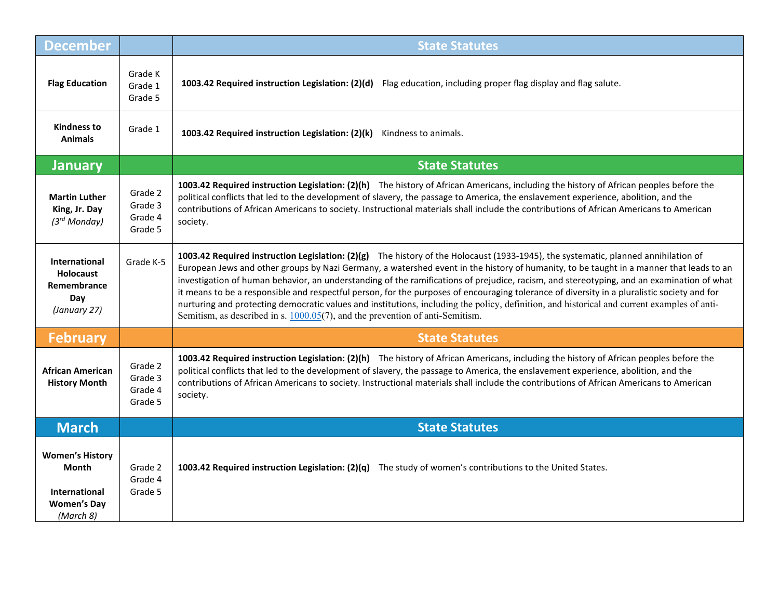| <b>December</b>                                                                            |                                          | <b>State Statutes</b>                                                                                                                                                                                                                                                                                                                                                                                                                                                                                                                                                                                                                                                                                                                                                                                        |
|--------------------------------------------------------------------------------------------|------------------------------------------|--------------------------------------------------------------------------------------------------------------------------------------------------------------------------------------------------------------------------------------------------------------------------------------------------------------------------------------------------------------------------------------------------------------------------------------------------------------------------------------------------------------------------------------------------------------------------------------------------------------------------------------------------------------------------------------------------------------------------------------------------------------------------------------------------------------|
| <b>Flag Education</b>                                                                      | Grade K<br>Grade 1<br>Grade 5            | 1003.42 Required instruction Legislation: (2)(d) Flag education, including proper flag display and flag salute.                                                                                                                                                                                                                                                                                                                                                                                                                                                                                                                                                                                                                                                                                              |
| <b>Kindness to</b><br><b>Animals</b>                                                       | Grade 1                                  | 1003.42 Required instruction Legislation: (2)(k)<br>Kindness to animals.                                                                                                                                                                                                                                                                                                                                                                                                                                                                                                                                                                                                                                                                                                                                     |
| <b>January</b>                                                                             |                                          | <b>State Statutes</b>                                                                                                                                                                                                                                                                                                                                                                                                                                                                                                                                                                                                                                                                                                                                                                                        |
| <b>Martin Luther</b><br>King, Jr. Day<br>$(3^{rd}$ Monday)                                 | Grade 2<br>Grade 3<br>Grade 4<br>Grade 5 | 1003.42 Required instruction Legislation: (2)(h) The history of African Americans, including the history of African peoples before the<br>political conflicts that led to the development of slavery, the passage to America, the enslavement experience, abolition, and the<br>contributions of African Americans to society. Instructional materials shall include the contributions of African Americans to American<br>society.                                                                                                                                                                                                                                                                                                                                                                          |
| <b>International</b><br><b>Holocaust</b><br>Remembrance<br>Day<br>(January 27)             | Grade K-5                                | 1003.42 Required instruction Legislation: (2)(g) The history of the Holocaust (1933-1945), the systematic, planned annihilation of<br>European Jews and other groups by Nazi Germany, a watershed event in the history of humanity, to be taught in a manner that leads to an<br>investigation of human behavior, an understanding of the ramifications of prejudice, racism, and stereotyping, and an examination of what<br>it means to be a responsible and respectful person, for the purposes of encouraging tolerance of diversity in a pluralistic society and for<br>nurturing and protecting democratic values and institutions, including the policy, definition, and historical and current examples of anti-<br>Semitism, as described in s. $1000.05(7)$ , and the prevention of anti-Semitism. |
| <b>February</b>                                                                            |                                          | <b>State Statutes</b>                                                                                                                                                                                                                                                                                                                                                                                                                                                                                                                                                                                                                                                                                                                                                                                        |
| <b>African American</b><br><b>History Month</b>                                            | Grade 2<br>Grade 3<br>Grade 4<br>Grade 5 | 1003.42 Required instruction Legislation: (2)(h) The history of African Americans, including the history of African peoples before the<br>political conflicts that led to the development of slavery, the passage to America, the enslavement experience, abolition, and the<br>contributions of African Americans to society. Instructional materials shall include the contributions of African Americans to American<br>society.                                                                                                                                                                                                                                                                                                                                                                          |
| <b>March</b>                                                                               |                                          | <b>State Statutes</b>                                                                                                                                                                                                                                                                                                                                                                                                                                                                                                                                                                                                                                                                                                                                                                                        |
| <b>Women's History</b><br>Month<br><b>International</b><br><b>Women's Day</b><br>(March 8) | Grade 2<br>Grade 4<br>Grade 5            | 1003.42 Required instruction Legislation: (2)(q) The study of women's contributions to the United States.                                                                                                                                                                                                                                                                                                                                                                                                                                                                                                                                                                                                                                                                                                    |